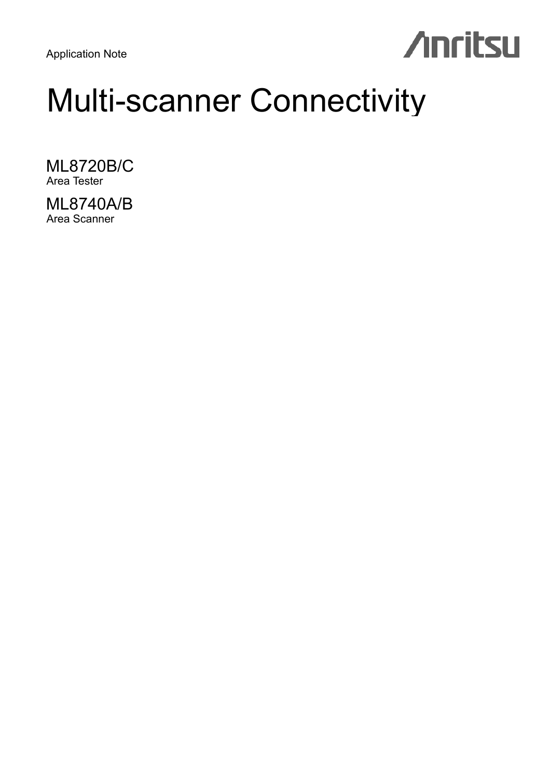Application Note

## **Anritsu**

## Multi-scanner Connectivity

ML8720B/C Area Tester

ML8740A/B Area Scanner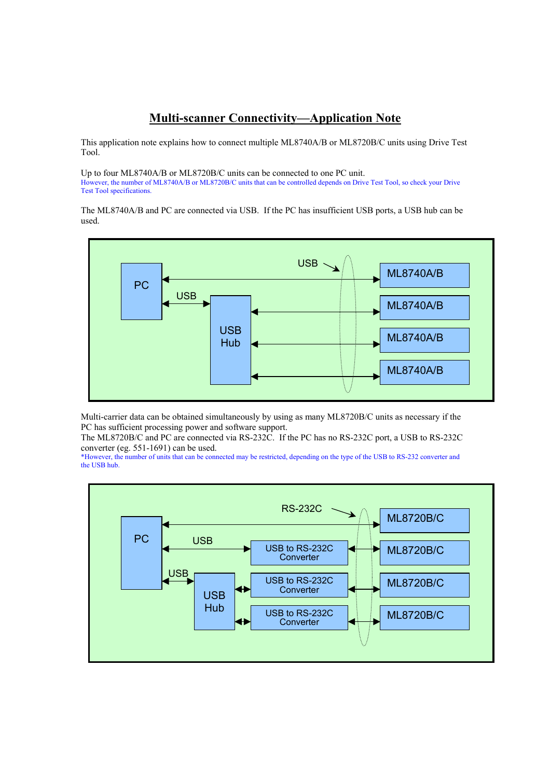## **Multi-scanner Connectivity—Application Note**

This application note explains how to connect multiple ML8740A/B or ML8720B/C units using Drive Test Tool.

Up to four ML8740A/B or ML8720B/C units can be connected to one PC unit. However, the number of ML8740A/B or ML8720B/C units that can be controlled depends on Drive Test Tool, so check your Drive Test Tool specifications.

The ML8740A/B and PC are connected via USB. If the PC has insufficient USB ports, a USB hub can be used.



Multi-carrier data can be obtained simultaneously by using as many ML8720B/C units as necessary if the PC has sufficient processing power and software support.

The ML8720B/C and PC are connected via RS-232C. If the PC has no RS-232C port, a USB to RS-232C converter (eg. 551-1691) can be used.

\*However, the number of units that can be connected may be restricted, depending on the type of the USB to RS-232 converter and the USB hub.